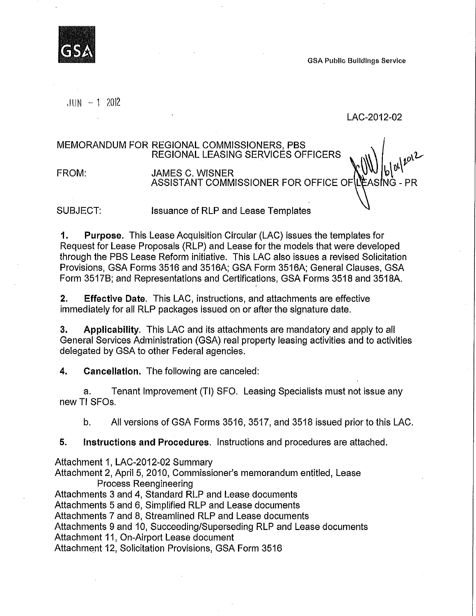GSA Public Buildings Service

 $JUN - 1$  2012

#### LAC-2012-02

MEMORANDUM FOR REGIONAL COMMISSIONERS, PBS REGIONAL LEASING SERVICES OFFICERS

 $\| \|\| \|\|_{-1}$ FROM: JAMES C. WISNER ASSISTANT COMMISSIONER FOR OFFICE OF

SUBJECT: Issuance of RLP and Lease Templates

1. Purpose. This Lease Acquisition Circular (LAC) issues the templates for Request for Lease Proposals (RLP) and Lease for the models that were developed through the PBS Lease Reform initiative. This LAC also issues a revised Solicitation Provisions, GSA Forms 3516 and 3516A; GSA Form 3516A; General Clauses, GSA Form 3517B; and Representations and Certifications, GSA Forms 3518 and 3518A.

2. Effective Date. This LAC, instructions, and attachments are effective immediately for all RLP packages issued on or after the signature date.

3. Applicability. This LAC and its attachments are mandatory and apply to all General Services Administration (GSA) real property leasing activities and to activities delegated by GSA to other Federal agencies.

4. Cancellation. The following are canceled:

a. Tenant Improvement (TI) SFO. Leasing Specialists must not issue any newTI SFOs.

b. All versions of GSA Forms 3516,3517, and 3518 issued prior to this LAC.

5. Instructions and Procedures. Instructions and procedures are attached.

Attachment 1, LAC-2012-02 Summary

Attachment 2, April 5, 2010, Commissioner's memorandum entitled, Lease Process Reengineering

Attachments 3 and 4, Standard RLP and Lease documents

Attachments 5 and 6, Simplified RLP and Lease documents

Attachments 7 and 8, Streamlined RLP and Lease documents

Attachments 9 and 10, Succeeding/Superseding RLP and Lease documents

Attachment 11, On-Airport Lease document

Attachment 12, Solicitation Provisions, GSA Form 3516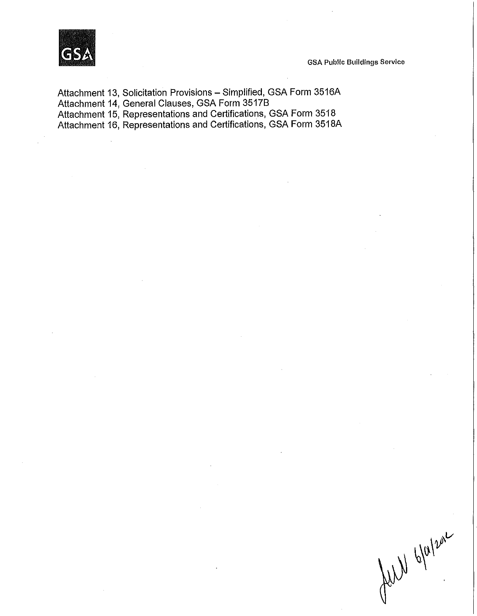

GSA Public Buildings Service

Attachment 13, Solicitation Provisions - Simplified, GSA Form 3516A Attachment 14, General Clauses, GSA Form 35178 Attachment 15, Representations and Certifications, GSA Form 3518 Attachment 16, Representations and Certifications, GSA Form 3518A

full blatzan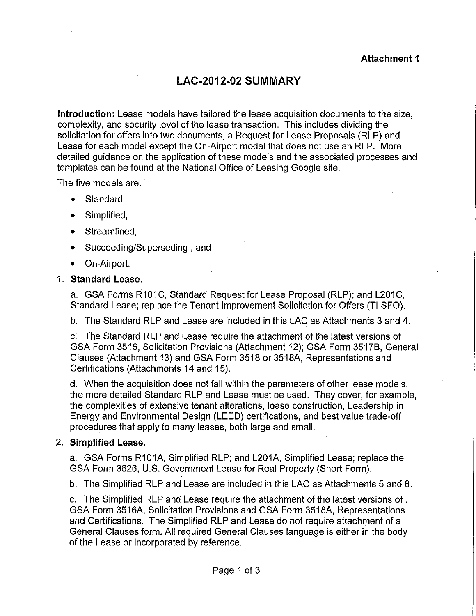# LAC-2012-02 **SUMMARY**

Introduction: Lease models have tailored the lease acquisition documents to the size, complexity, and security level of the lease transaction. This includes dividing the solicitation for offers into two documents, a Request for Lease Proposals (RLP) and Lease for each model except the On-Airport model that does not use an RLP. More detailed guidance on the application of these models and the associated processes and templates can be found at the National Office of Leasing Google site.

The five models are:

- Standard
- Simplified,
- Streamlined,
- Succeeding/Superseding, and
- On-Airport.

## 1. Standard Lease.

a. GSA Forms R101C, Standard Request for Lease Proposal (RLP); and L201C, Standard Lease; replace the Tenant Improvement Solicitation for Offers (TI SFO).

b. The Standard RLP and Lease are included in this LAC as Attachments 3 and 4.

c: The Standard RLP and Lease require the attachment of the latest versions of GSA Form 3516, Solicitation Provisions (Attachment 12); GSA Form 3517B, General Clauses (Attachment 13) and GSA Form 3518 or 3518A, Representations and Certifications (Attachments 14 and 15).

d. When the acquisition does not fall within the parameters of other lease models, the more detailed Standard RLP and Lease must be used. They cover, for example, the complexities of extensive tenant alterations, lease construction, Leadership in Energy and Environmental Design (LEED) certifications, and best value trade-off procedures that apply to many leases, both large and small.

## 2. Simplified Lease.

a. GSA Forms R101A, Simplified RLP; and L201A, Simplified Lease; replace the GSA Form 3626, U.S. Government Lease for Real Property (Short Form).

b. The Simplified RLP and Lease are included in this LAC as Attachments 5 and 6.

c. The Simplified RLP and Lease require the attachment of the latest versions of . GSA Form 3516A, Solicitation Provisions and GSA Form 3518A, Representations and Certifications. The Simplified RLP and Lease do not require attachment of a General Clauses form. All required General Clauses language is either in the body of the Lease or incorporated by reference.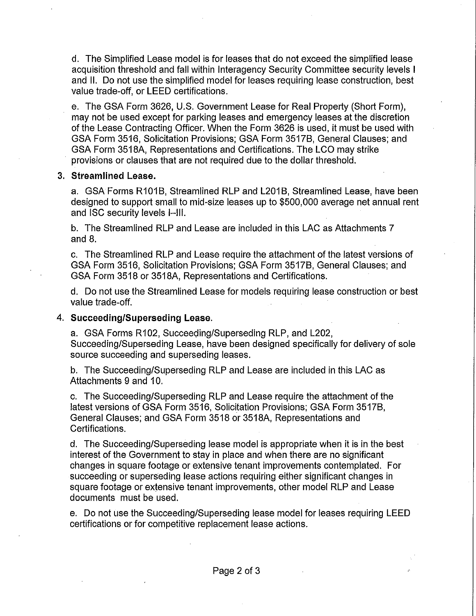d. The Simplified Lease model is for leases that do not exceed the simplified lease acquisition threshold and fall within Interagency Security Committee security levels I and II. Do not use the simplified model for leases requiring lease construction, best value trade-off, or LEED certifications.

e. The GSA Form 3626, U.S. Government Lease for Real Property (Short Form), may not be used except for parking leases and emergency leases at the discretion of the Lease Contracting Officer. When the Form 3626 is used, it must be used with GSA Form 3516, Solicitation Provisions; GSA Form 3517B, General Clauses; and GSA Form 3518A, Representations and Certifications. The LCO may strike provisions or clauses that are not required due to the dollar threshold.

#### 3. Streamlined Lease.

a. GSA Forms R101B, Streamlined RLP and L201B, Streamlined Lease, have been designed to support small to mid-size leases up to \$500,000 average net annual rent and ISC security levels I-III.

b. The Streamlined RLP and Lease are included in this LAC as Attachments 7 and 8.

c. The Streamlined RLP and Lease require the attachment of the latest versions of GSA Form 3516, Solicitation Provisions; GSA Form 3517B, General Clauses; and GSA Form 3518 or 3518A, Representations and Certifications.

d. Do not use the Streamlined Lease for models requiring lease construction or best value trade-off.

## 4. Succeeding/Superseding Lease.

a. GSA Forms R102, Succeeding/Superseding RLP, and L202, Succeeding/Superseding Lease, have been designed specifically for delivery of sole source succeeding and superseding leases.

b. The Succeeding/Superseding RLP and Lease are included in this LAC as Attachments 9 and 10.

c. The Succeeding/Superseding RLP and Lease require the attachment of the latest versions of GSA Form 3516, Solicitation Provisions; GSA Form 3517B, General Clauses; and GSA Form 3518 or 3518A, Representations and Certifications.

d. The Succeeding/Superseding lease model is appropriate when it is in the best interest of the Government to stay in place and when there are no significant changes in square footage or extensive tenant improvements contemplated. For succeeding or superseding lease actions requiring either significant changes in square footage or extensive tenant improvements, other model RLP and Lease documents must be used.

e. Do not use the Succeeding/Superseding lease model for leases requiring LEED certifications or for competitive replacement lease actions.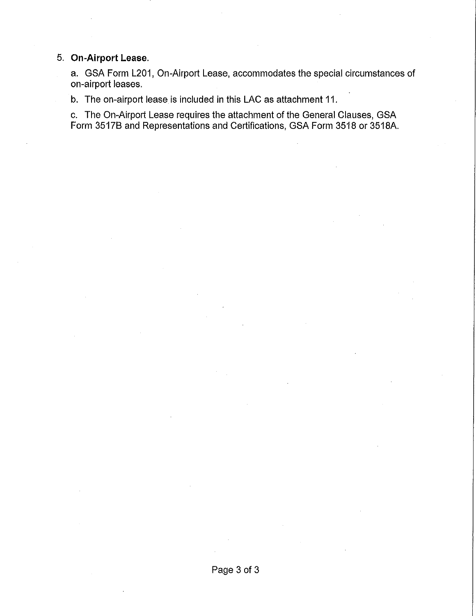## 5. **On-Airport Lease.**

a. GSA Form L201, On-Airport Lease, accommodates the special circumstances of on-airport leases.

b. The on-airport lease is included in this LAC as attachment 11.

c. The On-Airport Lease requires the attachment of the General Clauses, GSA Form 35178 and Representations and Certifications, GSA Form 3518 or 3518A.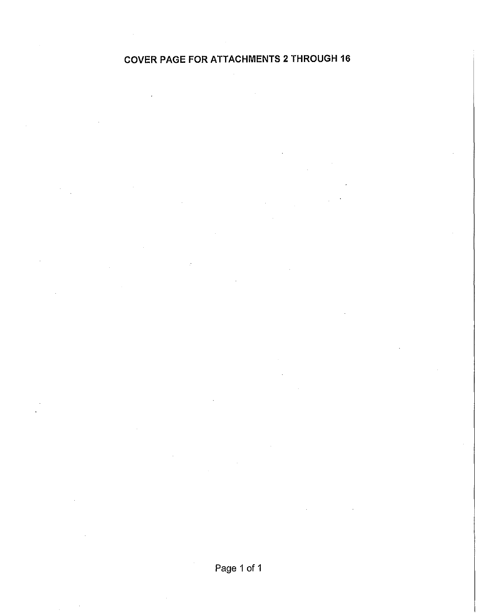## **COVER PAGE FOR ATTACHMENTS 2 THROUGH 16**